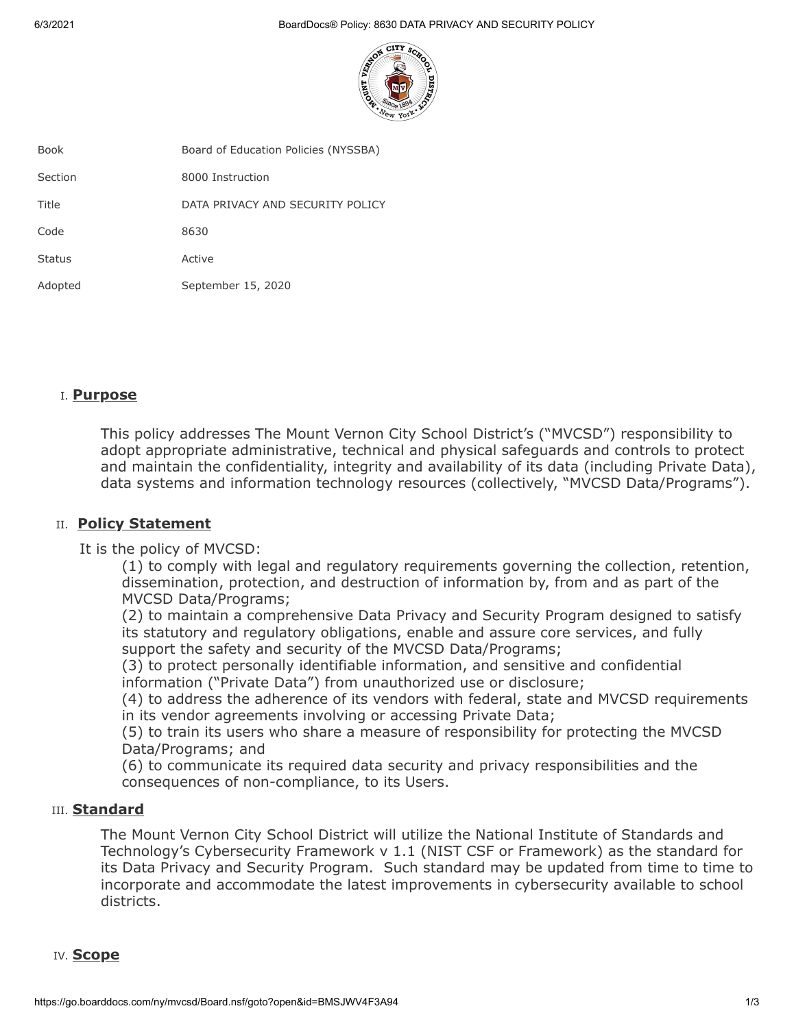6/3/2021 BoardDocs® Policy: 8630 DATA PRIVACY AND SECURITY POLICY



| Book          | Board of Education Policies (NYSSBA) |
|---------------|--------------------------------------|
| Section       | 8000 Instruction                     |
| Title         | DATA PRIVACY AND SECURITY POLICY     |
| Code          | 8630                                 |
| <b>Status</b> | Active                               |
| Adopted       | September 15, 2020                   |

# I. **Purpose**

This policy addresses The Mount Vernon City School District's ("MVCSD") responsibility to adopt appropriate administrative, technical and physical safeguards and controls to protect and maintain the confidentiality, integrity and availability of its data (including Private Data), data systems and information technology resources (collectively, "MVCSD Data/Programs").

### II. **Policy Statement**

It is the policy of MVCSD:

(1) to comply with legal and regulatory requirements governing the collection, retention, dissemination, protection, and destruction of information by, from and as part of the MVCSD Data/Programs;

(2) to maintain a comprehensive Data Privacy and Security Program designed to satisfy its statutory and regulatory obligations, enable and assure core services, and fully support the safety and security of the MVCSD Data/Programs;

(3) to protect personally identifiable information, and sensitive and confidential information ("Private Data") from unauthorized use or disclosure;

(4) to address the adherence of its vendors with federal, state and MVCSD requirements in its vendor agreements involving or accessing Private Data;

(5) to train its users who share a measure of responsibility for protecting the MVCSD Data/Programs; and

(6) to communicate its required data security and privacy responsibilities and the consequences of non-compliance, to its Users.

### III. **Standard**

The Mount Vernon City School District will utilize the National Institute of Standards and Technology's Cybersecurity Framework v 1.1 (NIST CSF or Framework) as the standard for its Data Privacy and Security Program. Such standard may be updated from time to time to incorporate and accommodate the latest improvements in cybersecurity available to school districts.

### IV. **Scope**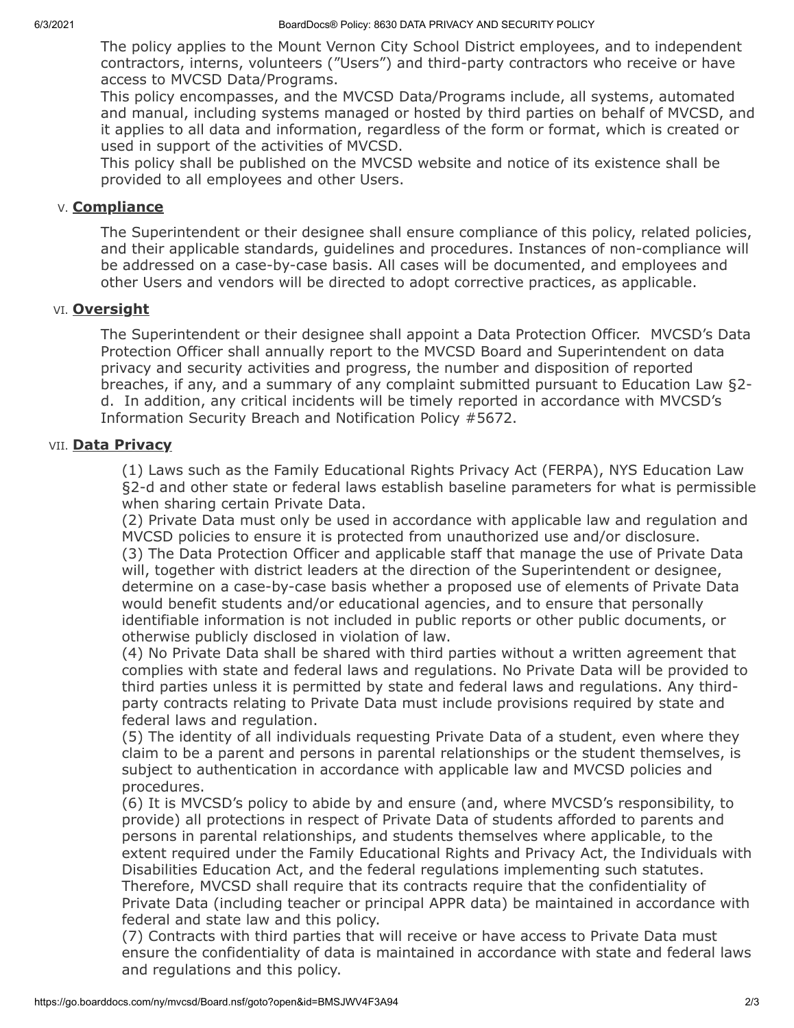The policy applies to the Mount Vernon City School District employees, and to independent contractors, interns, volunteers ("Users") and third-party contractors who receive or have access to MVCSD Data/Programs.

This policy encompasses, and the MVCSD Data/Programs include, all systems, automated and manual, including systems managed or hosted by third parties on behalf of MVCSD, and it applies to all data and information, regardless of the form or format, which is created or used in support of the activities of MVCSD.

This policy shall be published on the MVCSD website and notice of its existence shall be provided to all employees and other Users.

## V. **Compliance**

The Superintendent or their designee shall ensure compliance of this policy, related policies, and their applicable standards, guidelines and procedures. Instances of non-compliance will be addressed on a case-by-case basis. All cases will be documented, and employees and other Users and vendors will be directed to adopt corrective practices, as applicable.

# VI. **Oversight**

The Superintendent or their designee shall appoint a Data Protection Officer. MVCSD's Data Protection Officer shall annually report to the MVCSD Board and Superintendent on data privacy and security activities and progress, the number and disposition of reported breaches, if any, and a summary of any complaint submitted pursuant to Education Law §2 d. In addition, any critical incidents will be timely reported in accordance with MVCSD's Information Security Breach and Notification Policy #5672.

# VII. **Data Privacy**

(1) Laws such as the Family Educational Rights Privacy Act (FERPA), NYS Education Law §2-d and other state or federal laws establish baseline parameters for what is permissible when sharing certain Private Data.

(2) Private Data must only be used in accordance with applicable law and regulation and MVCSD policies to ensure it is protected from unauthorized use and/or disclosure. (3) The Data Protection Officer and applicable staff that manage the use of Private Data will, together with district leaders at the direction of the Superintendent or designee, determine on a case-by-case basis whether a proposed use of elements of Private Data would benefit students and/or educational agencies, and to ensure that personally identifiable information is not included in public reports or other public documents, or otherwise publicly disclosed in violation of law.

(4) No Private Data shall be shared with third parties without a written agreement that complies with state and federal laws and regulations. No Private Data will be provided to third parties unless it is permitted by state and federal laws and regulations. Any thirdparty contracts relating to Private Data must include provisions required by state and federal laws and regulation.

(5) The identity of all individuals requesting Private Data of a student, even where they claim to be a parent and persons in parental relationships or the student themselves, is subject to authentication in accordance with applicable law and MVCSD policies and procedures.

(6) It is MVCSD's policy to abide by and ensure (and, where MVCSD's responsibility, to provide) all protections in respect of Private Data of students afforded to parents and persons in parental relationships, and students themselves where applicable, to the extent required under the Family Educational Rights and Privacy Act, the Individuals with Disabilities Education Act, and the federal regulations implementing such statutes. Therefore, MVCSD shall require that its contracts require that the confidentiality of Private Data (including teacher or principal APPR data) be maintained in accordance with federal and state law and this policy.

(7) Contracts with third parties that will receive or have access to Private Data must ensure the confidentiality of data is maintained in accordance with state and federal laws and regulations and this policy.